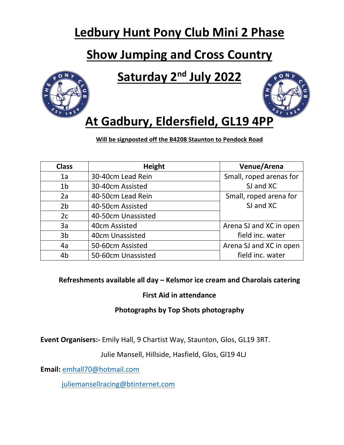# **Ledbury Hunt Pony Club Mini 2 Phase**

# **Show Jumping and Cross Country**

# **Saturday 2nd July 2022**





# **At Gadbury, Eldersfield, GL19 4PP**

**Will be signposted off the B4208 Staunton to Pendock Road**

| <b>Class</b>   | <b>Height</b>      | Venue/Arena             |  |
|----------------|--------------------|-------------------------|--|
| 1a             | 30-40cm Lead Rein  | Small, roped arenas for |  |
| 1 <sub>b</sub> | 30-40cm Assisted   | SJ and XC               |  |
| 2a             | 40-50cm Lead Rein  | Small, roped arena for  |  |
| 2 <sub>b</sub> | 40-50cm Assisted   | SJ and XC               |  |
| 2c             | 40-50cm Unassisted |                         |  |
| 3a             | 40cm Assisted      | Arena SJ and XC in open |  |
| 3 <sub>b</sub> | 40cm Unassisted    | field inc. water        |  |
| 4a             | 50-60cm Assisted   | Arena SJ and XC in open |  |
| 4 <sub>b</sub> | 50-60cm Unassisted | field inc. water        |  |

### **Refreshments available all day – Kelsmor ice cream and Charolais catering**

### **First Aid in attendance**

### **Photographs by Top Shots photography**

**Event Organisers:-** Emily Hall, 9 Chartist Way, Staunton, Glos, GL19 3RT.

Julie Mansell, Hillside, Hasfield, Glos, Gl19 4LJ

**Email:** [emhall70@hotmail.com](mailto:emhall70@hotmail.com)

[juliemansellracing@btinternet.com](mailto:juliemansellracing@btinternet.com)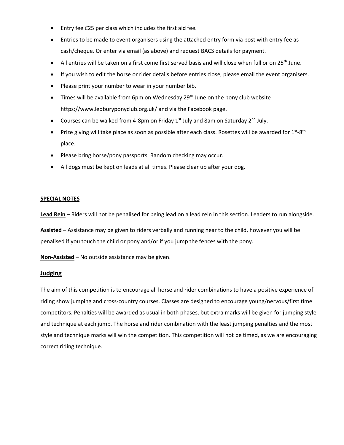- Entry fee £25 per class which includes the first aid fee.
- Entries to be made to event organisers using the attached entry form via post with entry fee as cash/cheque. Or enter via email (as above) and request BACS details for payment.
- All entries will be taken on a first come first served basis and will close when full or on 25<sup>th</sup> June.
- If you wish to edit the horse or rider details before entries close, please email the event organisers.
- Please print your number to wear in your number bib.
- Times will be available from 6pm on Wednesday  $29<sup>th</sup>$  June on the pony club website https://www.ledburyponyclub.org.uk/ and via the Facebook page.
- Courses can be walked from 4-8pm on Friday  $1^{st}$  July and 8am on Saturday  $2^{nd}$  July.
- Prize giving will take place as soon as possible after each class. Rosettes will be awarded for  $1^{st}$ -8<sup>th</sup> place.
- Please bring horse/pony passports. Random checking may occur.
- All dogs must be kept on leads at all times. Please clear up after your dog.

#### **SPECIAL NOTES**

**Lead Rein** – Riders will not be penalised for being lead on a lead rein in this section. Leaders to run alongside.

**Assisted** – Assistance may be given to riders verbally and running near to the child, however you will be penalised if you touch the child or pony and/or if you jump the fences with the pony.

**Non-Assisted** – No outside assistance may be given.

#### **Judging**

The aim of this competition is to encourage all horse and rider combinations to have a positive experience of riding show jumping and cross-country courses. Classes are designed to encourage young/nervous/first time competitors. Penalties will be awarded as usual in both phases, but extra marks will be given for jumping style and technique at each jump. The horse and rider combination with the least jumping penalties and the most style and technique marks will win the competition. This competition will not be timed, as we are encouraging correct riding technique.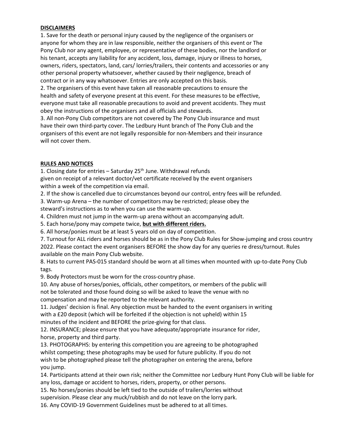#### **DISCLAIMERS**

1. Save for the death or personal injury caused by the negligence of the organisers or anyone for whom they are in law responsible, neither the organisers of this event or The Pony Club nor any agent, employee, or representative of these bodies, nor the landlord or his tenant, accepts any liability for any accident, loss, damage, injury or illness to horses, owners, riders, spectators, land, cars/ lorries/trailers, their contents and accessories or any other personal property whatsoever, whether caused by their negligence, breach of contract or in any way whatsoever. Entries are only accepted on this basis.

2. The organisers of this event have taken all reasonable precautions to ensure the health and safety of everyone present at this event. For these measures to be effective, everyone must take all reasonable precautions to avoid and prevent accidents. They must obey the instructions of the organisers and all officials and stewards.

3. All non-Pony Club competitors are not covered by The Pony Club insurance and must have their own third-party cover. The Ledbury Hunt branch of The Pony Club and the organisers of this event are not legally responsible for non-Members and their insurance will not cover them.

#### **RULES AND NOTICES**

1. Closing date for entries  $-$  Saturday 25<sup>th</sup> June. Withdrawal refunds given on receipt of a relevant doctor/vet certificate received by the event organisers within a week of the competition via email.

2. If the show is cancelled due to circumstances beyond our control, entry fees will be refunded.

3. Warm-up Arena – the number of competitors may be restricted; please obey the

steward's instructions as to when you can use the warm-up.

4. Children must not jump in the warm-up arena without an accompanying adult.

5. Each horse/pony may compete twice, **but with different riders.**

6. All horse/ponies must be at least 5 years old on day of competition.

7. Turnout for ALL riders and horses should be as in the Pony Club Rules for Show-jumping and cross country 2022. Please contact the event organisers BEFORE the show day for any queries re dress/turnout. Rules available on the main Pony Club website.

8. Hats to current PAS-015 standard should be worn at all times when mounted with up-to-date Pony Club tags.

9. Body Protectors must be worn for the cross-country phase.

10. Any abuse of horses/ponies, officials, other competitors, or members of the public will not be tolerated and those found doing so will be asked to leave the venue with no compensation and may be reported to the relevant authority.

11. Judges' decision is final. Any objection must be handed to the event organisers in writing with a £20 deposit (which will be forfeited if the objection is not upheld) within 15 minutes of the incident and BEFORE the prize-giving for that class.

12. INSURANCE; please ensure that you have adequate/appropriate insurance for rider, horse, property and third party.

13. PHOTOGRAPHS: by entering this competition you are agreeing to be photographed whilst competing; these photographs may be used for future publicity. If you do not wish to be photographed please tell the photographer on entering the arena, before you jump.

14. Participants attend at their own risk; neither the Committee nor Ledbury Hunt Pony Club will be liable for any loss, damage or accident to horses, riders, property, or other persons.

15. No horses/ponies should be left tied to the outside of trailers/lorries without

supervision. Please clear any muck/rubbish and do not leave on the lorry park.

16. Any COVID-19 Government Guidelines must be adhered to at all times.